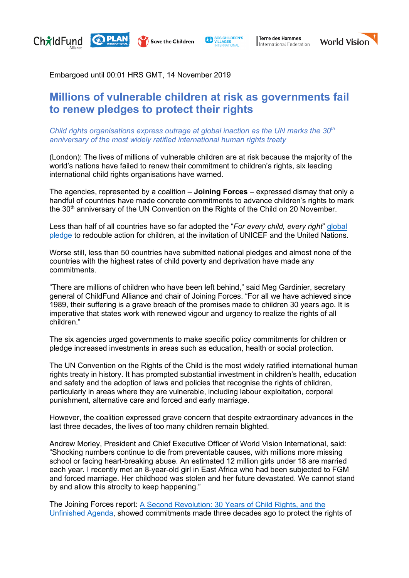

**Save the Children** 

Terre des Hommes International Federation



Embargoed until 00:01 HRS GMT, 14 November 2019

## **Millions of vulnerable children at risk as governments fail to renew pledges to protect their rights**

*Child rights organisations express outrage at global inaction as the UN marks the 30<sup>th</sup> anniversary of the most widely ratified international human rights treaty* 

(London): The lives of millions of vulnerable children are at risk because the majority of the world's nations have failed to renew their commitment to children's rights, six leading international child rights organisations have warned.

The agencies, represented by a coalition – **Joining Forces** – expressed dismay that only a handful of countries have made concrete commitments to advance children's rights to mark the 30<sup>th</sup> anniversary of the UN Convention on the Rights of the Child on 20 November.

Less than half of all countries have so far adopted the "*For every child, every right*" [global](https://www.unicef.org/child-rights-convention/global-action)  [pledge](https://www.unicef.org/child-rights-convention/global-action) to redouble action for children, at the invitation of UNICEF and the United Nations.

Worse still, less than 50 countries have submitted national pledges and almost none of the countries with the highest rates of child poverty and deprivation have made any commitments.

"There are millions of children who have been left behind," said Meg Gardinier, secretary general of ChildFund Alliance and chair of Joining Forces. "For all we have achieved since 1989, their suffering is a grave breach of the promises made to children 30 years ago. It is imperative that states work with renewed vigour and urgency to realize the rights of all children."

The six agencies urged governments to make specific policy commitments for children or pledge increased investments in areas such as education, health or social protection.

The UN Convention on the Rights of the Child is the most widely ratified international human rights treaty in history. It has prompted substantial investment in children's health, education and safety and the adoption of laws and policies that recognise the rights of children, particularly in areas where they are vulnerable, including labour exploitation, corporal punishment, alternative care and forced and early marriage.

However, the coalition expressed grave concern that despite extraordinary advances in the last three decades, the lives of too many children remain blighted.

Andrew Morley, President and Chief Executive Officer of World Vision International, said: "Shocking numbers continue to die from preventable causes, with millions more missing school or facing heart-breaking abuse. An estimated 12 million girls under 18 are married each year. I recently met an 8-year-old girl in East Africa who had been subjected to FGM and forced marriage. Her childhood was stolen and her future devastated. We cannot stand by and allow this atrocity to keep happening."

The Joining Forces report: A Second [Revolution: 30 Years of Child Rights, and the](https://child-rights-now.org/) [Unfinished Agenda,](https://child-rights-now.org/) showed commitments made three decades ago to protect the rights of